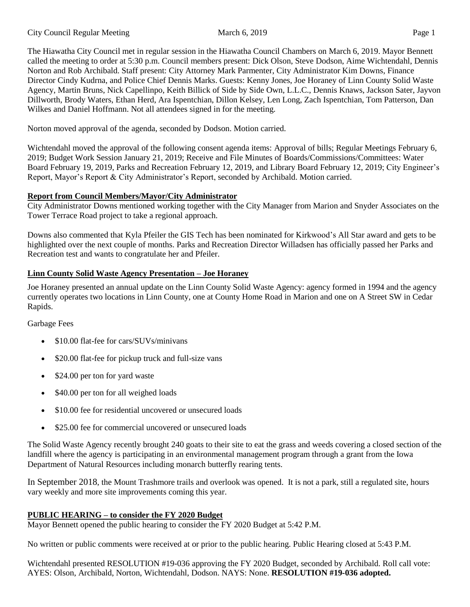The Hiawatha City Council met in regular session in the Hiawatha Council Chambers on March 6, 2019. Mayor Bennett called the meeting to order at 5:30 p.m. Council members present: Dick Olson, Steve Dodson, Aime Wichtendahl, Dennis Norton and Rob Archibald. Staff present: City Attorney Mark Parmenter, City Administrator Kim Downs, Finance Director Cindy Kudrna, and Police Chief Dennis Marks. Guests: Kenny Jones, Joe Horaney of Linn County Solid Waste Agency, Martin Bruns, Nick Capellinpo, Keith Billick of Side by Side Own, L.L.C., Dennis Knaws, Jackson Sater, Jayvon Dillworth, Brody Waters, Ethan Herd, Ara Ispentchian, Dillon Kelsey, Len Long, Zach Ispentchian, Tom Patterson, Dan Wilkes and Daniel Hoffmann. Not all attendees signed in for the meeting.

Norton moved approval of the agenda, seconded by Dodson. Motion carried.

Wichtendahl moved the approval of the following consent agenda items: Approval of bills; Regular Meetings February 6, 2019; Budget Work Session January 21, 2019; Receive and File Minutes of Boards/Commissions/Committees: Water Board February 19, 2019, Parks and Recreation February 12, 2019, and Library Board February 12, 2019; City Engineer's Report, Mayor's Report & City Administrator's Report, seconded by Archibald. Motion carried.

## **Report from Council Members/Mayor/City Administrator**

City Administrator Downs mentioned working together with the City Manager from Marion and Snyder Associates on the Tower Terrace Road project to take a regional approach.

Downs also commented that Kyla Pfeiler the GIS Tech has been nominated for Kirkwood's All Star award and gets to be highlighted over the next couple of months. Parks and Recreation Director Willadsen has officially passed her Parks and Recreation test and wants to congratulate her and Pfeiler.

## **Linn County Solid Waste Agency Presentation – Joe Horaney**

Joe Horaney presented an annual update on the Linn County Solid Waste Agency: agency formed in 1994 and the agency currently operates two locations in Linn County, one at County Home Road in Marion and one on A Street SW in Cedar Rapids.

Garbage Fees

- \$10.00 flat-fee for cars/SUVs/minivans
- \$20.00 flat-fee for pickup truck and full-size vans
- \$24.00 per ton for yard waste
- \$40.00 per ton for all weighed loads
- \$10.00 fee for residential uncovered or unsecured loads
- \$25.00 fee for commercial uncovered or unsecured loads

The Solid Waste Agency recently brought 240 goats to their site to eat the grass and weeds covering a closed section of the landfill where the agency is participating in an environmental management program through a grant from the Iowa Department of Natural Resources including monarch butterfly rearing tents.

In September 2018, the Mount Trashmore trails and overlook was opened. It is not a park, still a regulated site, hours vary weekly and more site improvements coming this year.

# **PUBLIC HEARING – to consider the FY 2020 Budget**

Mayor Bennett opened the public hearing to consider the FY 2020 Budget at 5:42 P.M.

No written or public comments were received at or prior to the public hearing. Public Hearing closed at 5:43 P.M.

Wichtendahl presented RESOLUTION #19-036 approving the FY 2020 Budget, seconded by Archibald. Roll call vote: AYES: Olson, Archibald, Norton, Wichtendahl, Dodson. NAYS: None. **RESOLUTION #19-036 adopted.**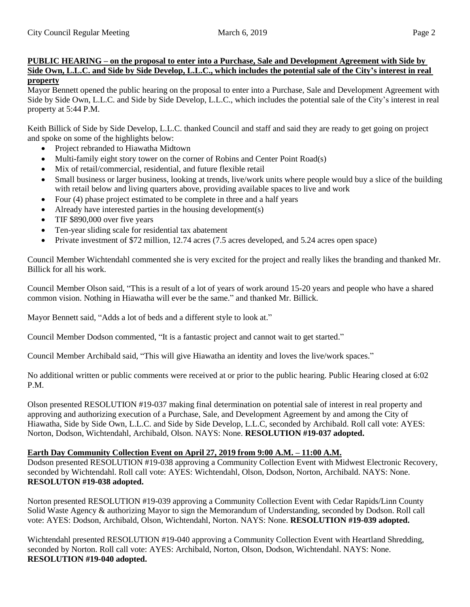### **PUBLIC HEARING – on the proposal to enter into a Purchase, Sale and Development Agreement with Side by Side Own, L.L.C. and Side by Side Develop, L.L.C., which includes the potential sale of the City's interest in real property**

Mayor Bennett opened the public hearing on the proposal to enter into a Purchase, Sale and Development Agreement with Side by Side Own, L.L.C. and Side by Side Develop, L.L.C., which includes the potential sale of the City's interest in real property at 5:44 P.M.

Keith Billick of Side by Side Develop, L.L.C. thanked Council and staff and said they are ready to get going on project and spoke on some of the highlights below:

- Project rebranded to Hiawatha Midtown
- Multi-family eight story tower on the corner of Robins and Center Point Road(s)
- Mix of retail/commercial, residential, and future flexible retail
- Small business or larger business, looking at trends, live/work units where people would buy a slice of the building with retail below and living quarters above, providing available spaces to live and work
- Four (4) phase project estimated to be complete in three and a half years
- Already have interested parties in the housing development(s)
- TIF \$890,000 over five years
- Ten-year sliding scale for residential tax abatement
- Private investment of \$72 million, 12.74 acres (7.5 acres developed, and 5.24 acres open space)

Council Member Wichtendahl commented she is very excited for the project and really likes the branding and thanked Mr. Billick for all his work.

Council Member Olson said, "This is a result of a lot of years of work around 15-20 years and people who have a shared common vision. Nothing in Hiawatha will ever be the same." and thanked Mr. Billick.

Mayor Bennett said, "Adds a lot of beds and a different style to look at."

Council Member Dodson commented, "It is a fantastic project and cannot wait to get started."

Council Member Archibald said, "This will give Hiawatha an identity and loves the live/work spaces."

No additional written or public comments were received at or prior to the public hearing. Public Hearing closed at 6:02 P<sub>M</sub>

Olson presented RESOLUTION #19-037 making final determination on potential sale of interest in real property and approving and authorizing execution of a Purchase, Sale, and Development Agreement by and among the City of Hiawatha, Side by Side Own, L.L.C. and Side by Side Develop, L.L.C, seconded by Archibald. Roll call vote: AYES: Norton, Dodson, Wichtendahl, Archibald, Olson. NAYS: None. **RESOLUTION #19-037 adopted.**

### **Earth Day Community Collection Event on April 27, 2019 from 9:00 A.M. – 11:00 A.M.**

Dodson presented RESOLUTION #19-038 approving a Community Collection Event with Midwest Electronic Recovery, seconded by Wichtendahl. Roll call vote: AYES: Wichtendahl, Olson, Dodson, Norton, Archibald. NAYS: None. **RESOLUTON #19-038 adopted.**

Norton presented RESOLUTION #19-039 approving a Community Collection Event with Cedar Rapids/Linn County Solid Waste Agency & authorizing Mayor to sign the Memorandum of Understanding, seconded by Dodson. Roll call vote: AYES: Dodson, Archibald, Olson, Wichtendahl, Norton. NAYS: None. **RESOLUTION #19-039 adopted.** 

Wichtendahl presented RESOLUTION #19-040 approving a Community Collection Event with Heartland Shredding, seconded by Norton. Roll call vote: AYES: Archibald, Norton, Olson, Dodson, Wichtendahl. NAYS: None. **RESOLUTION #19-040 adopted.**